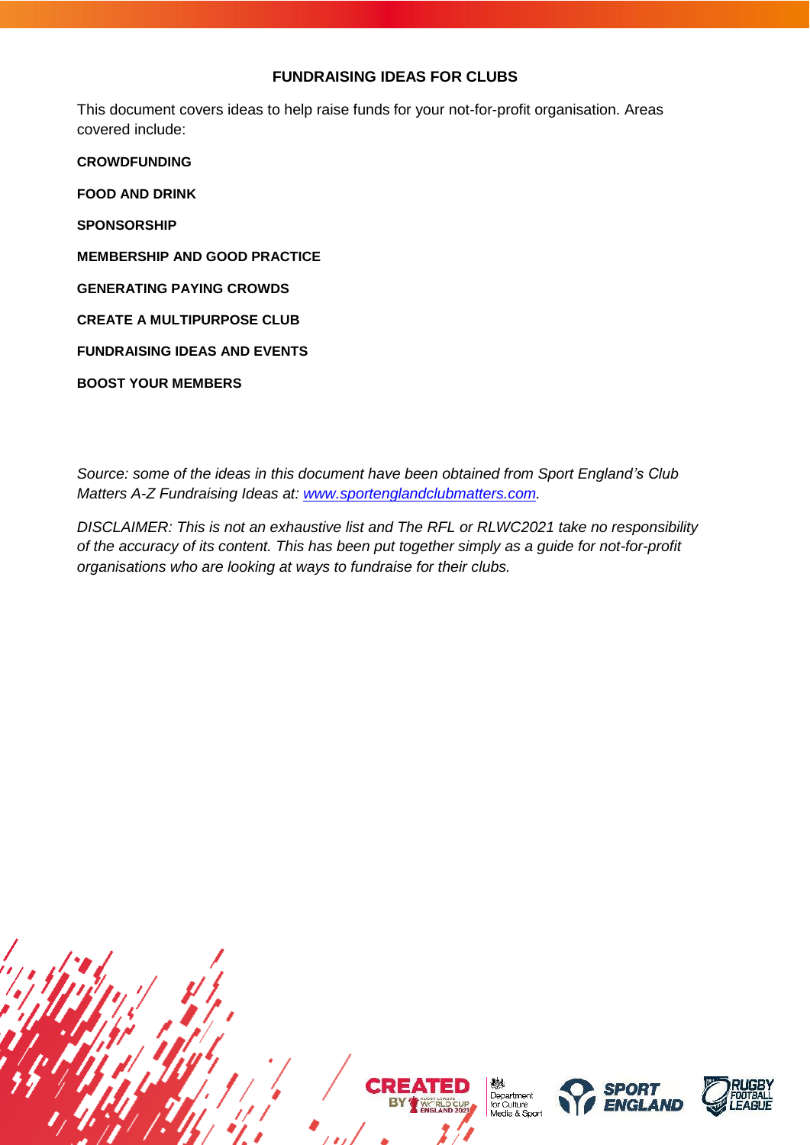# **FUNDRAISING IDEAS FOR CLUBS**

This document covers ideas to help raise funds for your not-for-profit organisation. Areas covered include:

**[CROWDFUNDING](#page-1-0) [FOOD AND DRINK](#page-3-0) [SPONSORSHIP](#page-4-0) [MEMBERSHIP AND GOOD PRACTICE](#page-7-0) [GENERATING PAYING CROWDS](#page-9-0) [CREATE A MULTIPURPOSE CLUB](#page-10-0) [FUNDRAISING IDEAS AND EVENTS](#page-11-0) [BOOST YOUR MEMBERS](#page-16-0)**

*Source: some of the ideas in this document have been obtained from Sport England's Club Matters A-Z Fundraising Ideas at: [www.sportenglandclubmatters.com.](http://www.sportenglandclubmatters.com/)*

*DISCLAIMER: This is not an exhaustive list and The RFL or RLWC2021 take no responsibility of the accuracy of its content. This has been put together simply as a guide for not-for-profit organisations who are looking at ways to fundraise for their clubs.*







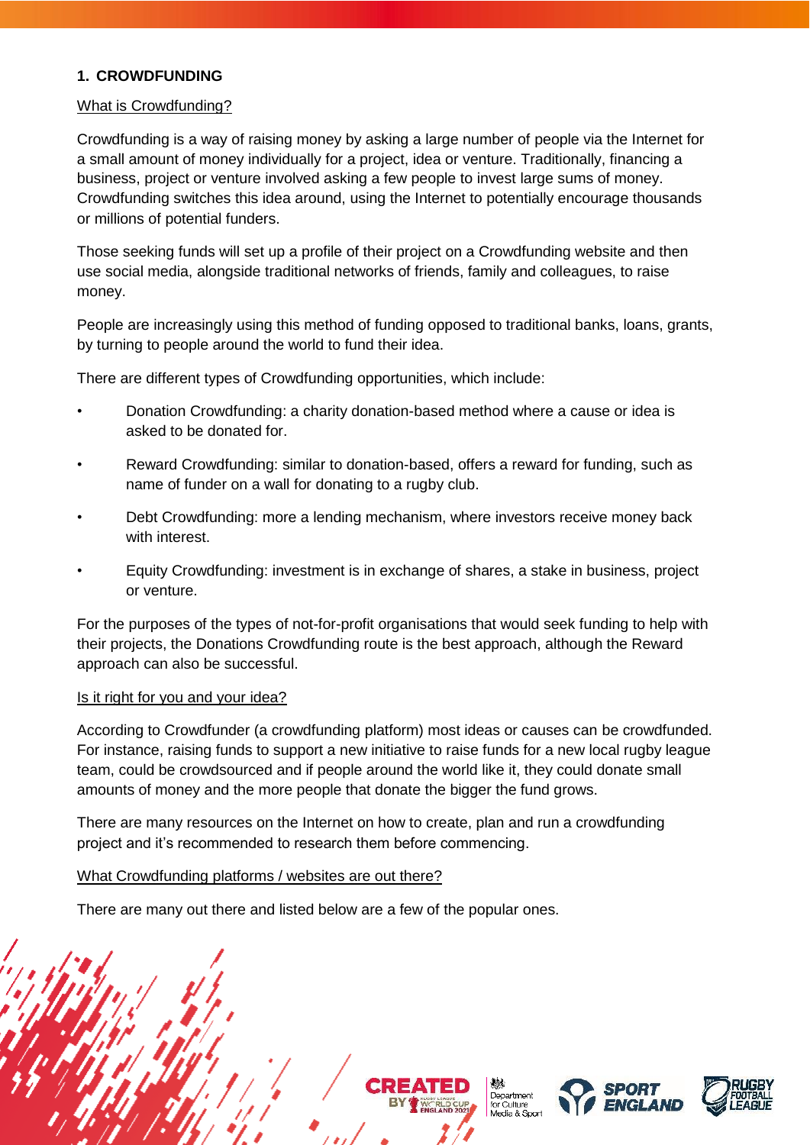# <span id="page-1-0"></span>**1. CROWDFUNDING**

### What is Crowdfunding?

Crowdfunding is a way of raising money by asking a large number of people via the Internet for a small amount of money individually for a project, idea or venture. Traditionally, financing a business, project or venture involved asking a few people to invest large sums of money. Crowdfunding switches this idea around, using the Internet to potentially encourage thousands or millions of potential funders.

Those seeking funds will set up a profile of their project on a Crowdfunding website and then use social media, alongside traditional networks of friends, family and colleagues, to raise money.

People are increasingly using this method of funding opposed to traditional banks, loans, grants, by turning to people around the world to fund their idea.

There are different types of Crowdfunding opportunities, which include:

- Donation Crowdfunding: a charity donation-based method where a cause or idea is asked to be donated for.
- Reward Crowdfunding: similar to donation-based, offers a reward for funding, such as name of funder on a wall for donating to a rugby club.
- Debt Crowdfunding: more a lending mechanism, where investors receive money back with interest.
- Equity Crowdfunding: investment is in exchange of shares, a stake in business, project or venture.

For the purposes of the types of not-for-profit organisations that would seek funding to help with their projects, the Donations Crowdfunding route is the best approach, although the Reward approach can also be successful.

#### Is it right for you and your idea?

According to Crowdfunder (a crowdfunding platform) most ideas or causes can be crowdfunded. For instance, raising funds to support a new initiative to raise funds for a new local rugby league team, could be crowdsourced and if people around the world like it, they could donate small amounts of money and the more people that donate the bigger the fund grows.

There are many resources on the Internet on how to create, plan and run a crowdfunding project and it's recommended to research them before commencing.

#### What Crowdfunding platforms / websites are out there?

There are many out there and listed below are a few of the popular ones.







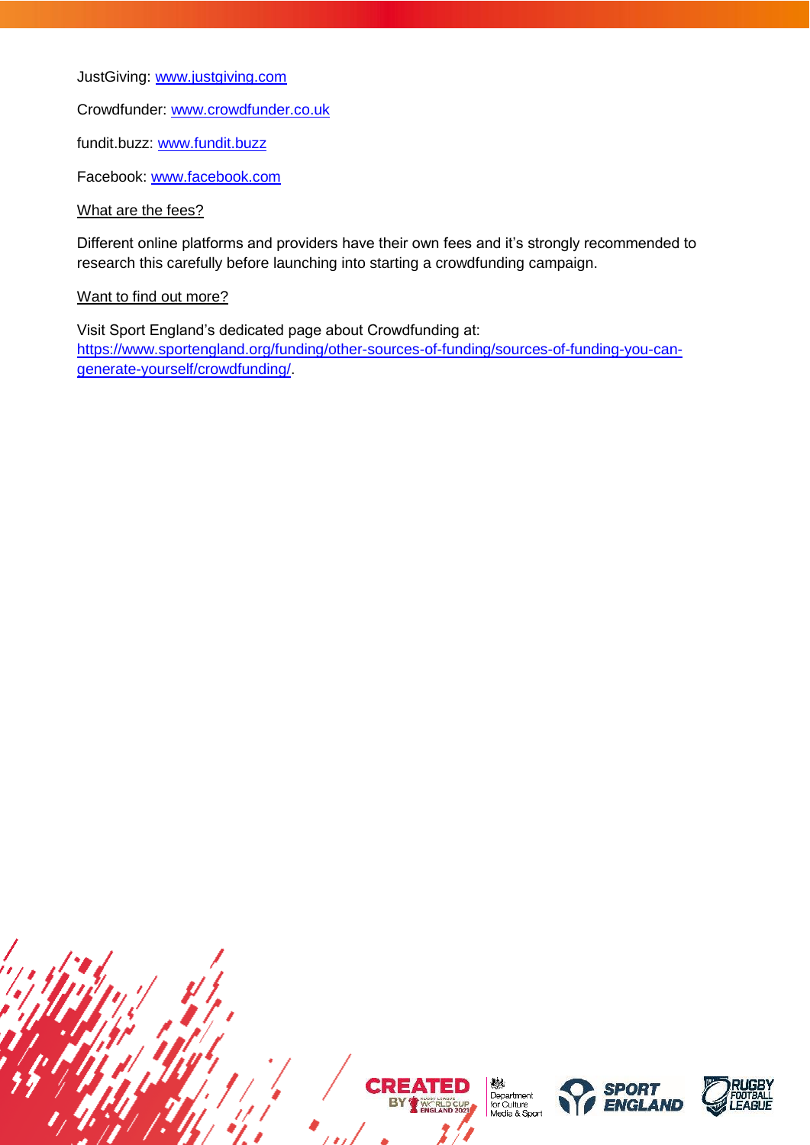JustGiving: [www.justgiving.com](http://www.justgiving.com/)

Crowdfunder: [www.crowdfunder.co.uk](http://www.crowdfunder.co.uk/)

fundit.buzz: [www.fundit.buzz](http://www.fundit.buzz/)

Facebook: [www.facebook.com](http://www.facebook.com/)

What are the fees?

Different online platforms and providers have their own fees and it's strongly recommended to research this carefully before launching into starting a crowdfunding campaign.

#### Want to find out more?

Visit Sport England's dedicated page about Crowdfunding at: [https://www.sportengland.org/funding/other-sources-of-funding/sources-of-funding-you-can](https://www.sportengland.org/funding/other-sources-of-funding/sources-of-funding-you-can-generate-yourself/crowdfunding/)[generate-yourself/crowdfunding/.](https://www.sportengland.org/funding/other-sources-of-funding/sources-of-funding-you-can-generate-yourself/crowdfunding/)



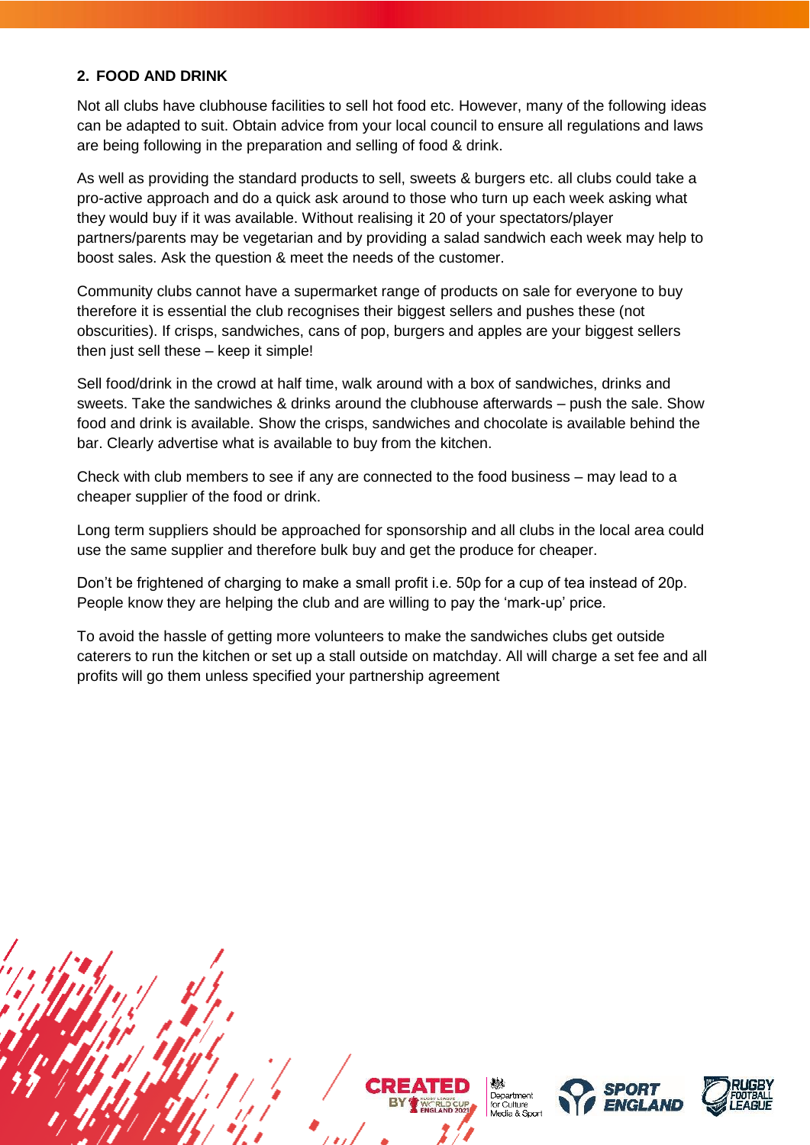# <span id="page-3-0"></span>**2. FOOD AND DRINK**

Not all clubs have clubhouse facilities to sell hot food etc. However, many of the following ideas can be adapted to suit. Obtain advice from your local council to ensure all regulations and laws are being following in the preparation and selling of food & drink.

As well as providing the standard products to sell, sweets & burgers etc. all clubs could take a pro-active approach and do a quick ask around to those who turn up each week asking what they would buy if it was available. Without realising it 20 of your spectators/player partners/parents may be vegetarian and by providing a salad sandwich each week may help to boost sales. Ask the question & meet the needs of the customer.

Community clubs cannot have a supermarket range of products on sale for everyone to buy therefore it is essential the club recognises their biggest sellers and pushes these (not obscurities). If crisps, sandwiches, cans of pop, burgers and apples are your biggest sellers then just sell these – keep it simple!

Sell food/drink in the crowd at half time, walk around with a box of sandwiches, drinks and sweets. Take the sandwiches & drinks around the clubhouse afterwards – push the sale. Show food and drink is available. Show the crisps, sandwiches and chocolate is available behind the bar. Clearly advertise what is available to buy from the kitchen.

Check with club members to see if any are connected to the food business – may lead to a cheaper supplier of the food or drink.

Long term suppliers should be approached for sponsorship and all clubs in the local area could use the same supplier and therefore bulk buy and get the produce for cheaper.

Don't be frightened of charging to make a small profit i.e. 50p for a cup of tea instead of 20p. People know they are helping the club and are willing to pay the 'mark-up' price.

To avoid the hassle of getting more volunteers to make the sandwiches clubs get outside caterers to run the kitchen or set up a stall outside on matchday. All will charge a set fee and all profits will go them unless specified your partnership agreement







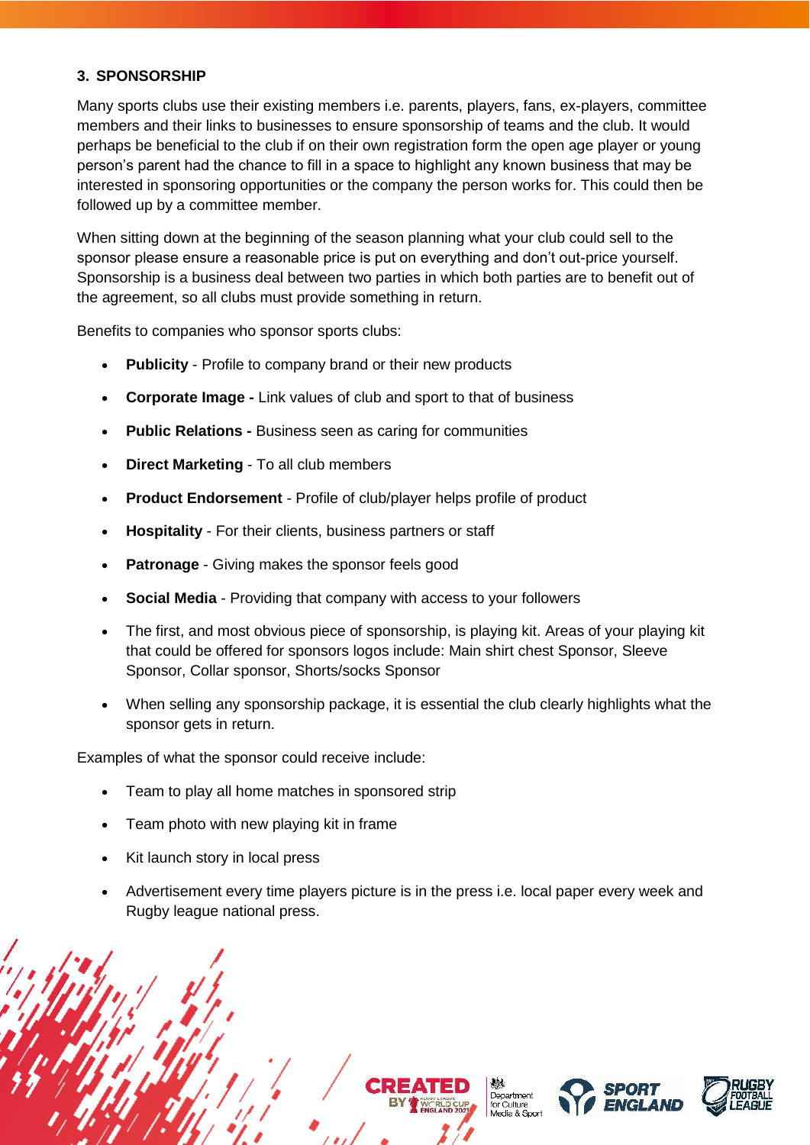# <span id="page-4-0"></span>**3. SPONSORSHIP**

Many sports clubs use their existing members i.e. parents, players, fans, ex-players, committee members and their links to businesses to ensure sponsorship of teams and the club. It would perhaps be beneficial to the club if on their own registration form the open age player or young person's parent had the chance to fill in a space to highlight any known business that may be interested in sponsoring opportunities or the company the person works for. This could then be followed up by a committee member.

When sitting down at the beginning of the season planning what your club could sell to the sponsor please ensure a reasonable price is put on everything and don't out-price yourself. Sponsorship is a business deal between two parties in which both parties are to benefit out of the agreement, so all clubs must provide something in return.

Benefits to companies who sponsor sports clubs:

- **Publicity** Profile to company brand or their new products
- **Corporate Image -** Link values of club and sport to that of business
- **Public Relations -** Business seen as caring for communities
- **Direct Marketing** To all club members
- **Product Endorsement** Profile of club/player helps profile of product
- **Hospitality** For their clients, business partners or staff
- **Patronage** Giving makes the sponsor feels good
- **Social Media** Providing that company with access to your followers
- The first, and most obvious piece of sponsorship, is playing kit. Areas of your playing kit that could be offered for sponsors logos include: Main shirt chest Sponsor, Sleeve Sponsor, Collar sponsor, Shorts/socks Sponsor
- When selling any sponsorship package, it is essential the club clearly highlights what the sponsor gets in return.

Examples of what the sponsor could receive include:

- Team to play all home matches in sponsored strip
- Team photo with new playing kit in frame
- Kit launch story in local press
- Advertisement every time players picture is in the press i.e. local paper every week and Rugby league national press.

Department for Culture<br>Media & Sport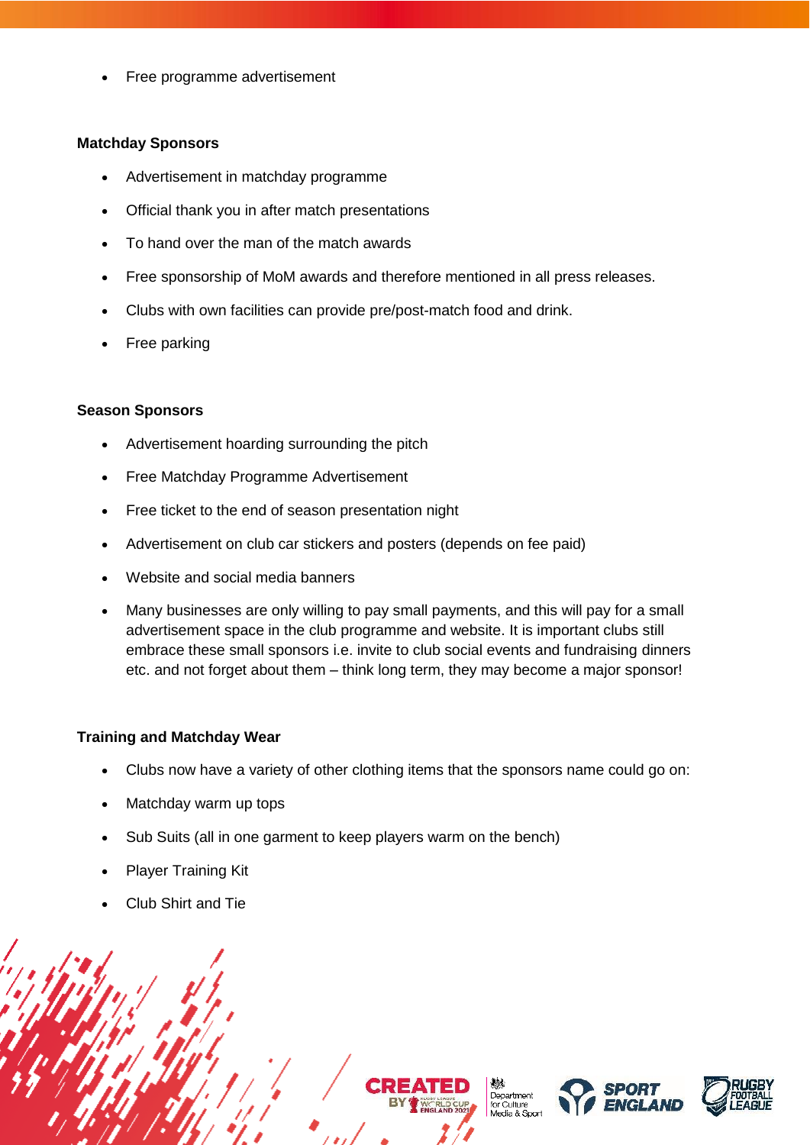• Free programme advertisement

#### **Matchday Sponsors**

- Advertisement in matchday programme
- Official thank you in after match presentations
- To hand over the man of the match awards
- Free sponsorship of MoM awards and therefore mentioned in all press releases.
- Clubs with own facilities can provide pre/post-match food and drink.
- Free parking

#### **Season Sponsors**

- Advertisement hoarding surrounding the pitch
- Free Matchday Programme Advertisement
- Free ticket to the end of season presentation night
- Advertisement on club car stickers and posters (depends on fee paid)
- Website and social media banners
- Many businesses are only willing to pay small payments, and this will pay for a small advertisement space in the club programme and website. It is important clubs still embrace these small sponsors i.e. invite to club social events and fundraising dinners etc. and not forget about them – think long term, they may become a major sponsor!

#### **Training and Matchday Wear**

- Clubs now have a variety of other clothing items that the sponsors name could go on:
- Matchday warm up tops
- Sub Suits (all in one garment to keep players warm on the bench)
- Player Training Kit
- Club Shirt and Tie

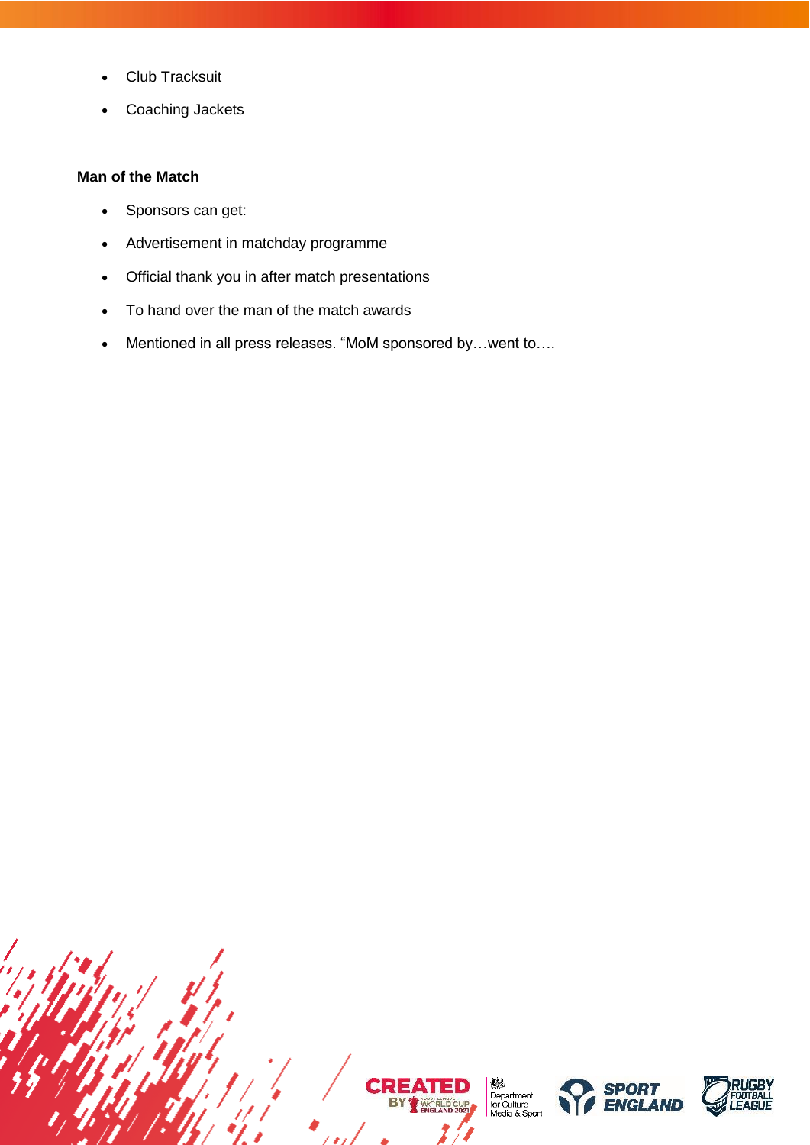- Club Tracksuit
- Coaching Jackets

# **Man of the Match**

- Sponsors can get:
- Advertisement in matchday programme
- Official thank you in after match presentations
- To hand over the man of the match awards
- Mentioned in all press releases. "MoM sponsored by…went to….

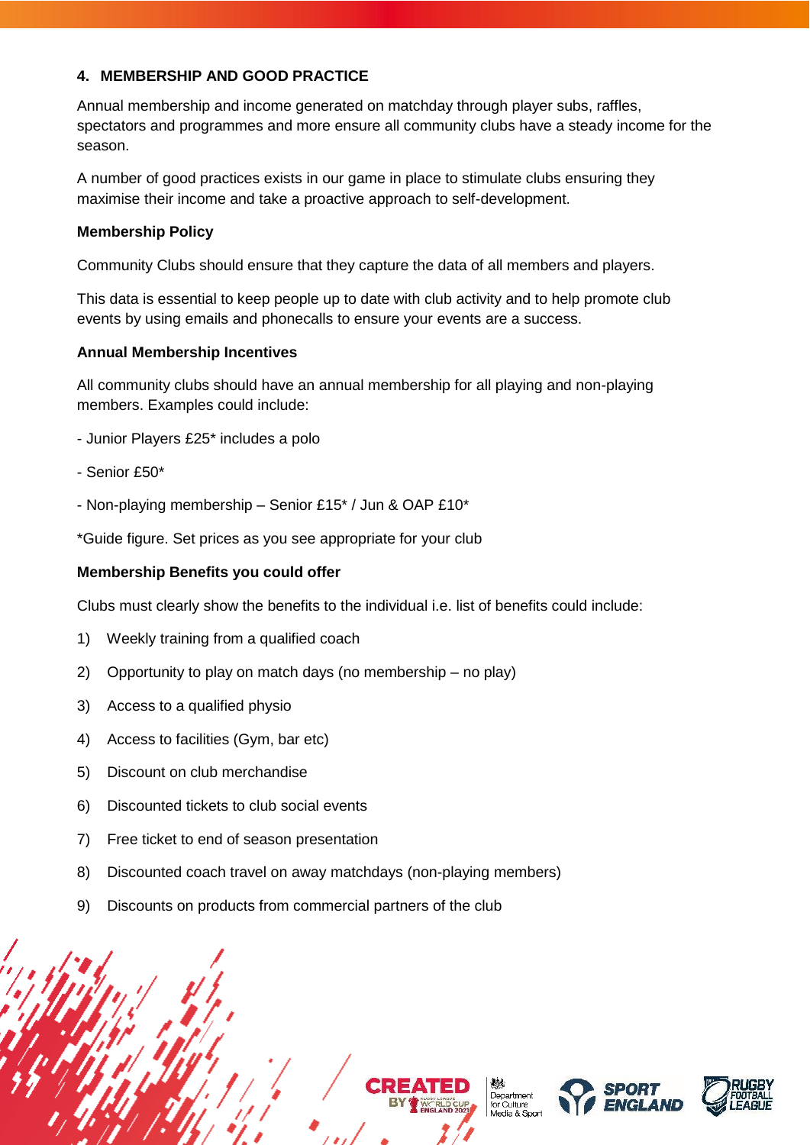# <span id="page-7-0"></span>**4. MEMBERSHIP AND GOOD PRACTICE**

Annual membership and income generated on matchday through player subs, raffles, spectators and programmes and more ensure all community clubs have a steady income for the season.

A number of good practices exists in our game in place to stimulate clubs ensuring they maximise their income and take a proactive approach to self-development.

### **Membership Policy**

Community Clubs should ensure that they capture the data of all members and players.

This data is essential to keep people up to date with club activity and to help promote club events by using emails and phonecalls to ensure your events are a success.

#### **Annual Membership Incentives**

All community clubs should have an annual membership for all playing and non-playing members. Examples could include:

- Junior Players £25\* includes a polo
- Senior £50\*
- Non-playing membership Senior £15\* / Jun & OAP £10\*

\*Guide figure. Set prices as you see appropriate for your club

#### **Membership Benefits you could offer**

Clubs must clearly show the benefits to the individual i.e. list of benefits could include:

- 1) Weekly training from a qualified coach
- 2) Opportunity to play on match days (no membership no play)
- 3) Access to a qualified physio
- 4) Access to facilities (Gym, bar etc)
- 5) Discount on club merchandise
- 6) Discounted tickets to club social events
- 7) Free ticket to end of season presentation
- 8) Discounted coach travel on away matchdays (non-playing members)
- 9) Discounts on products from commercial partners of the club

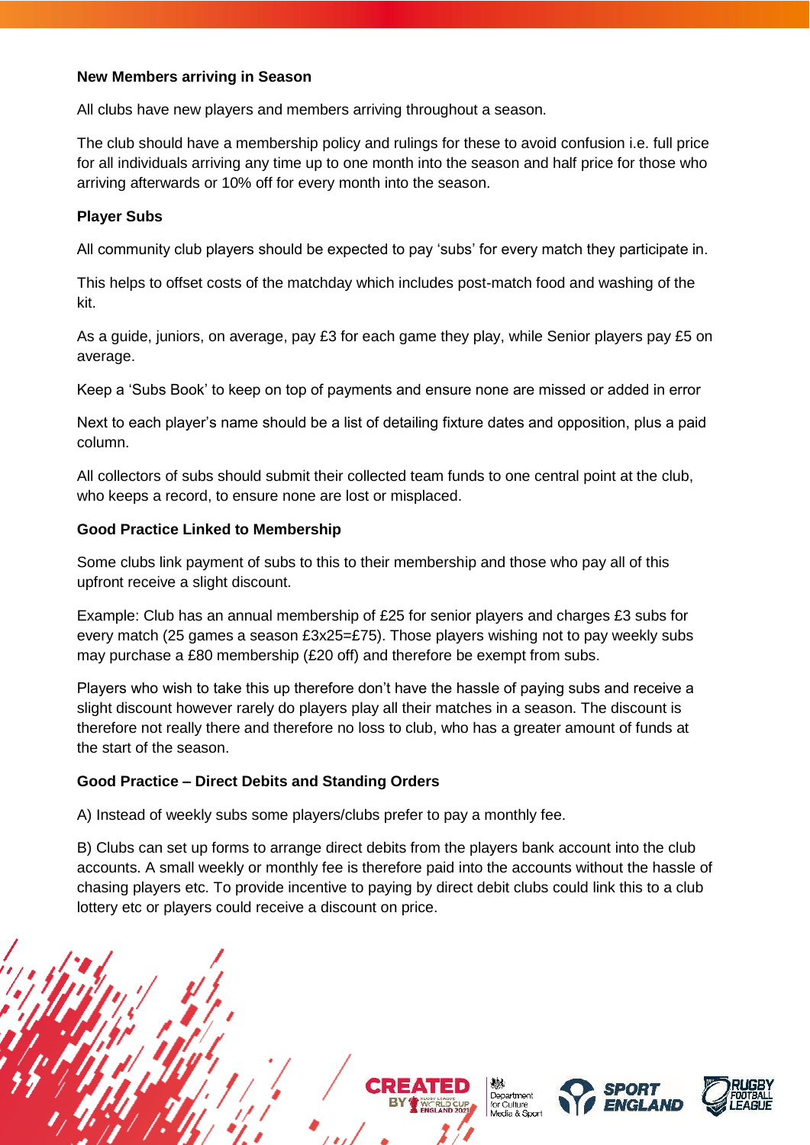### **New Members arriving in Season**

All clubs have new players and members arriving throughout a season.

The club should have a membership policy and rulings for these to avoid confusion i.e. full price for all individuals arriving any time up to one month into the season and half price for those who arriving afterwards or 10% off for every month into the season.

### **Player Subs**

All community club players should be expected to pay 'subs' for every match they participate in.

This helps to offset costs of the matchday which includes post-match food and washing of the kit.

As a guide, juniors, on average, pay £3 for each game they play, while Senior players pay £5 on average.

Keep a 'Subs Book' to keep on top of payments and ensure none are missed or added in error

Next to each player's name should be a list of detailing fixture dates and opposition, plus a paid column.

All collectors of subs should submit their collected team funds to one central point at the club, who keeps a record, to ensure none are lost or misplaced.

### **Good Practice Linked to Membership**

Some clubs link payment of subs to this to their membership and those who pay all of this upfront receive a slight discount.

Example: Club has an annual membership of £25 for senior players and charges £3 subs for every match (25 games a season  $£3x25=£75$ ). Those players wishing not to pay weekly subs may purchase a £80 membership (£20 off) and therefore be exempt from subs.

Players who wish to take this up therefore don't have the hassle of paying subs and receive a slight discount however rarely do players play all their matches in a season. The discount is therefore not really there and therefore no loss to club, who has a greater amount of funds at the start of the season.

# **Good Practice – Direct Debits and Standing Orders**

A) Instead of weekly subs some players/clubs prefer to pay a monthly fee.

B) Clubs can set up forms to arrange direct debits from the players bank account into the club accounts. A small weekly or monthly fee is therefore paid into the accounts without the hassle of chasing players etc. To provide incentive to paying by direct debit clubs could link this to a club lottery etc or players could receive a discount on price.







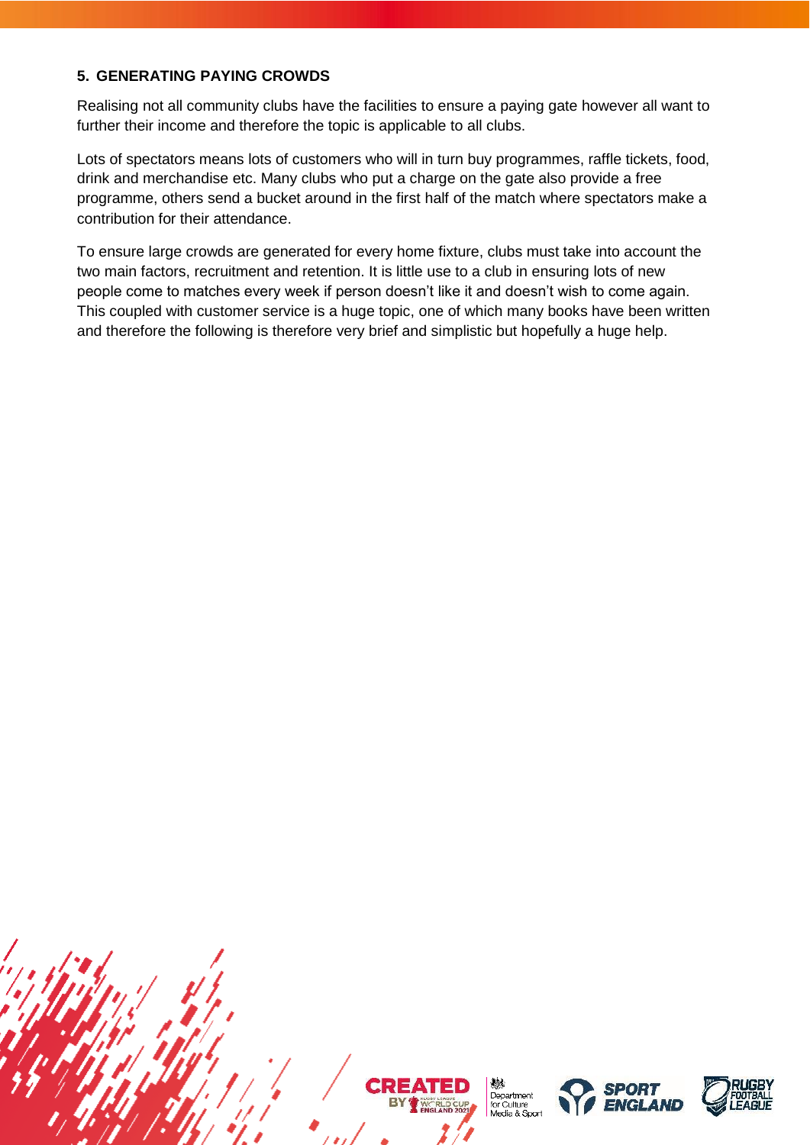# <span id="page-9-0"></span>**5. GENERATING PAYING CROWDS**

Realising not all community clubs have the facilities to ensure a paying gate however all want to further their income and therefore the topic is applicable to all clubs.

Lots of spectators means lots of customers who will in turn buy programmes, raffle tickets, food, drink and merchandise etc. Many clubs who put a charge on the gate also provide a free programme, others send a bucket around in the first half of the match where spectators make a contribution for their attendance.

To ensure large crowds are generated for every home fixture, clubs must take into account the two main factors, recruitment and retention. It is little use to a club in ensuring lots of new people come to matches every week if person doesn't like it and doesn't wish to come again. This coupled with customer service is a huge topic, one of which many books have been written and therefore the following is therefore very brief and simplistic but hopefully a huge help.



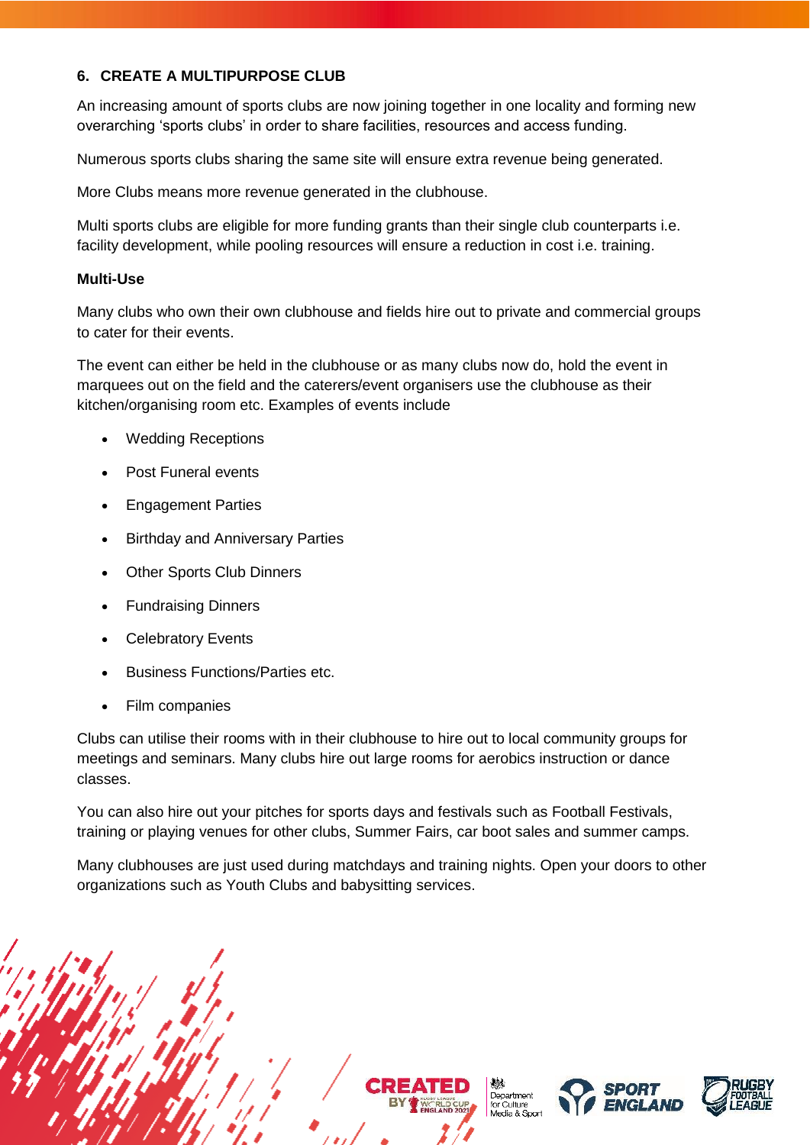# <span id="page-10-0"></span>**6. CREATE A MULTIPURPOSE CLUB**

An increasing amount of sports clubs are now joining together in one locality and forming new overarching 'sports clubs' in order to share facilities, resources and access funding.

Numerous sports clubs sharing the same site will ensure extra revenue being generated.

More Clubs means more revenue generated in the clubhouse.

Multi sports clubs are eligible for more funding grants than their single club counterparts i.e. facility development, while pooling resources will ensure a reduction in cost i.e. training.

### **Multi-Use**

Many clubs who own their own clubhouse and fields hire out to private and commercial groups to cater for their events.

The event can either be held in the clubhouse or as many clubs now do, hold the event in marquees out on the field and the caterers/event organisers use the clubhouse as their kitchen/organising room etc. Examples of events include

- Wedding Receptions
- Post Funeral events
- Engagement Parties
- Birthday and Anniversary Parties
- **Other Sports Club Dinners**
- Fundraising Dinners
- **Celebratory Events**
- Business Functions/Parties etc.
- Film companies

Clubs can utilise their rooms with in their clubhouse to hire out to local community groups for meetings and seminars. Many clubs hire out large rooms for aerobics instruction or dance classes.

You can also hire out your pitches for sports days and festivals such as Football Festivals, training or playing venues for other clubs, Summer Fairs, car boot sales and summer camps.

Many clubhouses are just used during matchdays and training nights. Open your doors to other organizations such as Youth Clubs and babysitting services.

> Department for Culture<br>Media & Sport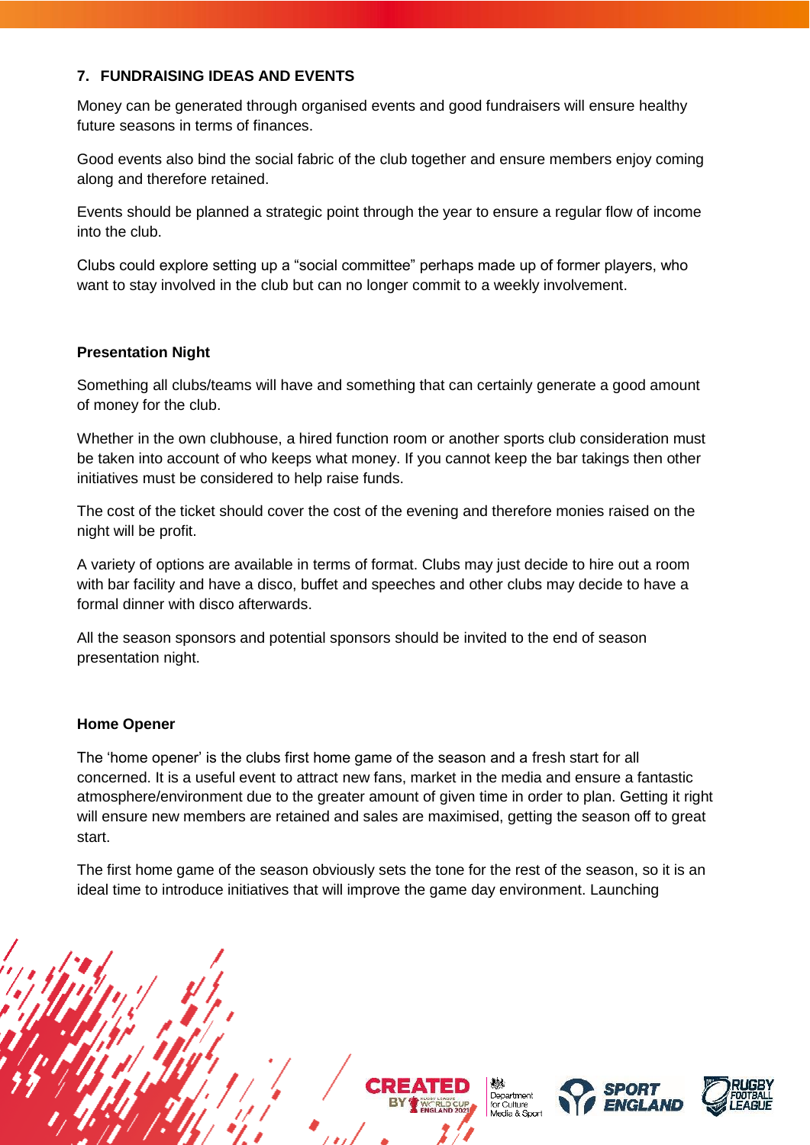# <span id="page-11-0"></span>**7. FUNDRAISING IDEAS AND EVENTS**

Money can be generated through organised events and good fundraisers will ensure healthy future seasons in terms of finances.

Good events also bind the social fabric of the club together and ensure members enjoy coming along and therefore retained.

Events should be planned a strategic point through the year to ensure a regular flow of income into the club.

Clubs could explore setting up a "social committee" perhaps made up of former players, who want to stay involved in the club but can no longer commit to a weekly involvement.

# **Presentation Night**

Something all clubs/teams will have and something that can certainly generate a good amount of money for the club.

Whether in the own clubhouse, a hired function room or another sports club consideration must be taken into account of who keeps what money. If you cannot keep the bar takings then other initiatives must be considered to help raise funds.

The cost of the ticket should cover the cost of the evening and therefore monies raised on the night will be profit.

A variety of options are available in terms of format. Clubs may just decide to hire out a room with bar facility and have a disco, buffet and speeches and other clubs may decide to have a formal dinner with disco afterwards.

All the season sponsors and potential sponsors should be invited to the end of season presentation night.

# **Home Opener**

The 'home opener' is the clubs first home game of the season and a fresh start for all concerned. It is a useful event to attract new fans, market in the media and ensure a fantastic atmosphere/environment due to the greater amount of given time in order to plan. Getting it right will ensure new members are retained and sales are maximised, getting the season off to great start.

The first home game of the season obviously sets the tone for the rest of the season, so it is an ideal time to introduce initiatives that will improve the game day environment. Launching







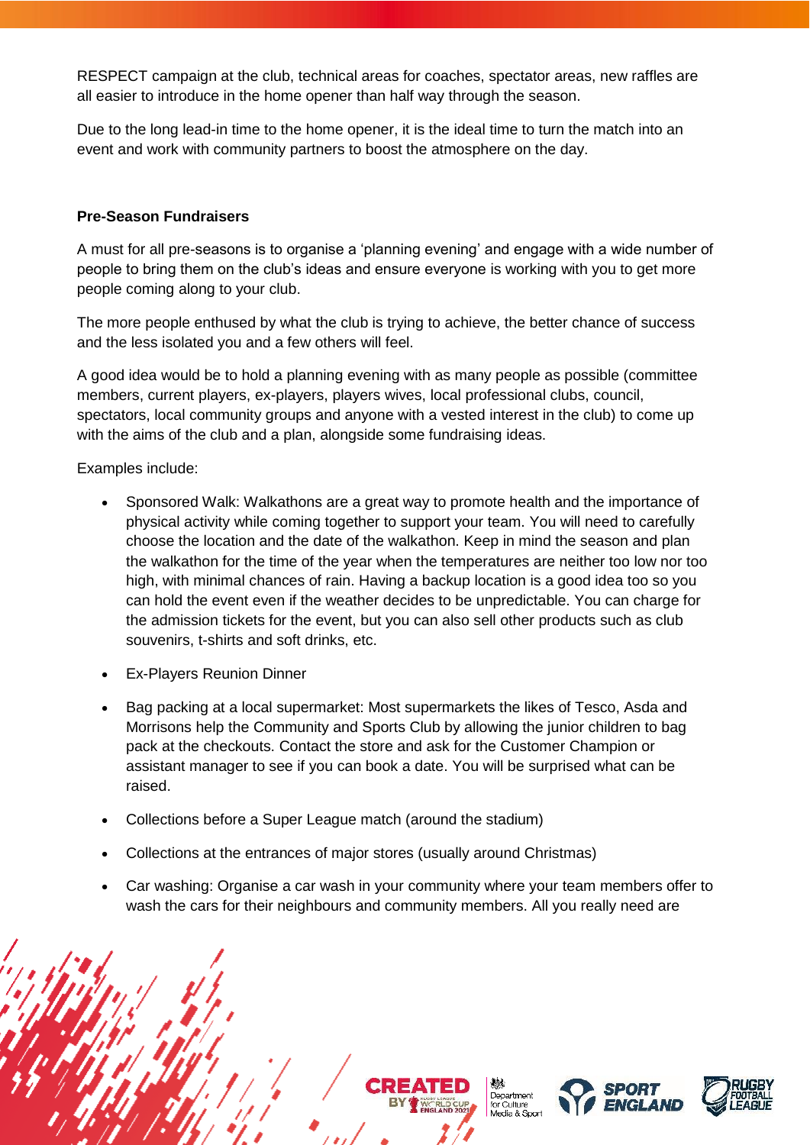RESPECT campaign at the club, technical areas for coaches, spectator areas, new raffles are all easier to introduce in the home opener than half way through the season.

Due to the long lead-in time to the home opener, it is the ideal time to turn the match into an event and work with community partners to boost the atmosphere on the day.

### **Pre-Season Fundraisers**

A must for all pre-seasons is to organise a 'planning evening' and engage with a wide number of people to bring them on the club's ideas and ensure everyone is working with you to get more people coming along to your club.

The more people enthused by what the club is trying to achieve, the better chance of success and the less isolated you and a few others will feel.

A good idea would be to hold a planning evening with as many people as possible (committee members, current players, ex-players, players wives, local professional clubs, council, spectators, local community groups and anyone with a vested interest in the club) to come up with the aims of the club and a plan, alongside some fundraising ideas.

Examples include:

- Sponsored Walk: Walkathons are a great way to promote health and the importance of physical activity while coming together to support your team. You will need to carefully choose the location and the date of the walkathon. Keep in mind the season and plan the walkathon for the time of the year when the temperatures are neither too low nor too high, with minimal chances of rain. Having a backup location is a good idea too so you can hold the event even if the weather decides to be unpredictable. You can charge for the admission tickets for the event, but you can also sell other products such as club souvenirs, t-shirts and soft drinks, etc.
- Ex-Players Reunion Dinner
- Bag packing at a local supermarket: Most supermarkets the likes of Tesco, Asda and Morrisons help the Community and Sports Club by allowing the junior children to bag pack at the checkouts. Contact the store and ask for the Customer Champion or assistant manager to see if you can book a date. You will be surprised what can be raised.
- Collections before a Super League match (around the stadium)
- Collections at the entrances of major stores (usually around Christmas)
- Car washing: Organise a car wash in your community where your team members offer to wash the cars for their neighbours and community members. All you really need are

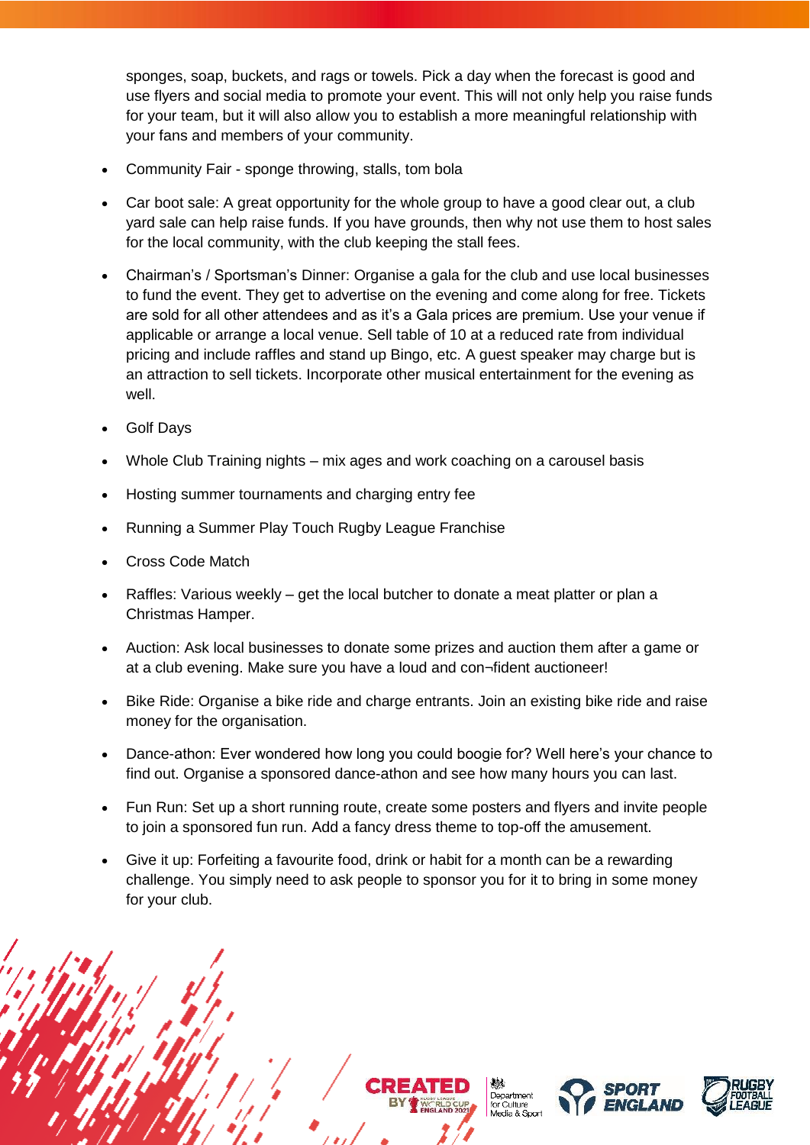sponges, soap, buckets, and rags or towels. Pick a day when the forecast is good and use flyers and social media to promote your event. This will not only help you raise funds for your team, but it will also allow you to establish a more meaningful relationship with your fans and members of your community.

- Community Fair sponge throwing, stalls, tom bola
- Car boot sale: A great opportunity for the whole group to have a good clear out, a club yard sale can help raise funds. If you have grounds, then why not use them to host sales for the local community, with the club keeping the stall fees.
- Chairman's / Sportsman's Dinner: Organise a gala for the club and use local businesses to fund the event. They get to advertise on the evening and come along for free. Tickets are sold for all other attendees and as it's a Gala prices are premium. Use your venue if applicable or arrange a local venue. Sell table of 10 at a reduced rate from individual pricing and include raffles and stand up Bingo, etc. A guest speaker may charge but is an attraction to sell tickets. Incorporate other musical entertainment for the evening as well.
- Golf Days
- Whole Club Training nights mix ages and work coaching on a carousel basis
- Hosting summer tournaments and charging entry fee
- Running a Summer Play Touch Rugby League Franchise
- Cross Code Match
- Raffles: Various weekly get the local butcher to donate a meat platter or plan a Christmas Hamper.
- Auction: Ask local businesses to donate some prizes and auction them after a game or at a club evening. Make sure you have a loud and con¬fident auctioneer!
- Bike Ride: Organise a bike ride and charge entrants. Join an existing bike ride and raise money for the organisation.
- Dance-athon: Ever wondered how long you could boogie for? Well here's your chance to find out. Organise a sponsored dance-athon and see how many hours you can last.
- Fun Run: Set up a short running route, create some posters and flyers and invite people to join a sponsored fun run. Add a fancy dress theme to top-off the amusement.
- Give it up: Forfeiting a favourite food, drink or habit for a month can be a rewarding challenge. You simply need to ask people to sponsor you for it to bring in some money for your club.

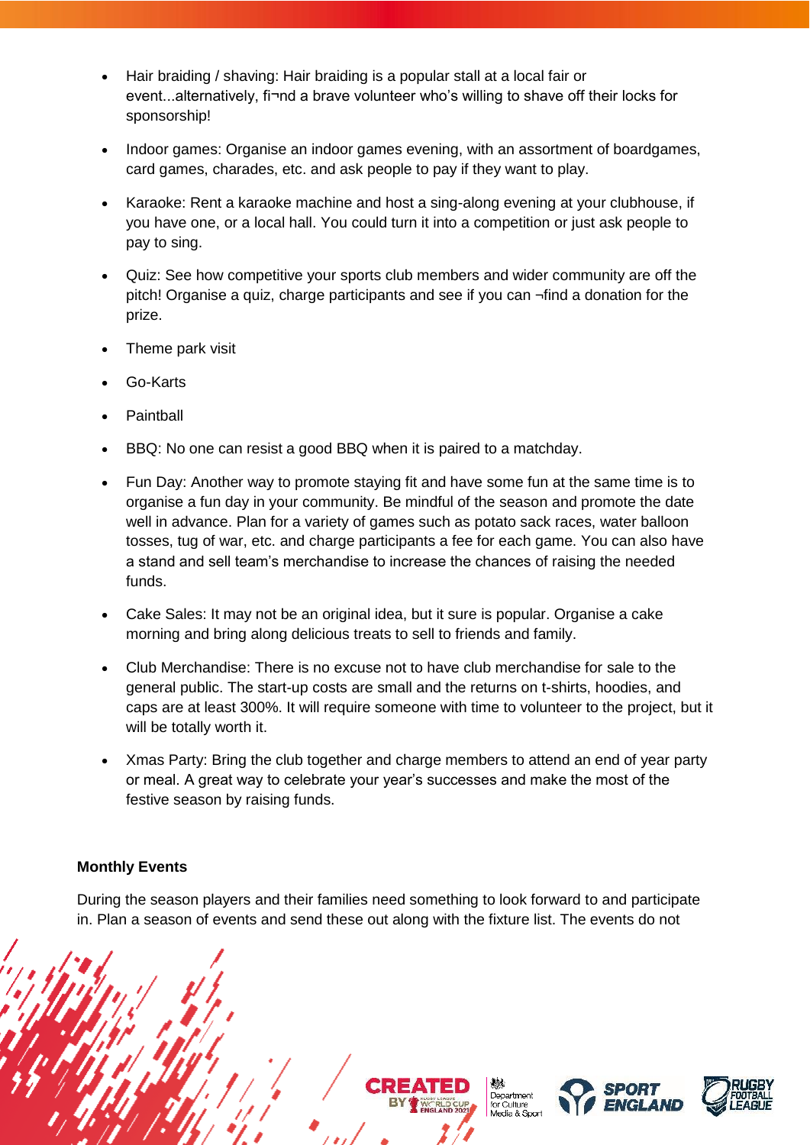- Hair braiding / shaving: Hair braiding is a popular stall at a local fair or event...alternatively, fi¬nd a brave volunteer who's willing to shave off their locks for sponsorship!
- Indoor games: Organise an indoor games evening, with an assortment of boardgames, card games, charades, etc. and ask people to pay if they want to play.
- Karaoke: Rent a karaoke machine and host a sing-along evening at your clubhouse, if you have one, or a local hall. You could turn it into a competition or just ask people to pay to sing.
- Quiz: See how competitive your sports club members and wider community are off the pitch! Organise a quiz, charge participants and see if you can ¬find a donation for the prize.
- Theme park visit
- Go-Karts
- **Paintball**
- BBQ: No one can resist a good BBQ when it is paired to a matchday.
- Fun Day: Another way to promote staying fit and have some fun at the same time is to organise a fun day in your community. Be mindful of the season and promote the date well in advance. Plan for a variety of games such as potato sack races, water balloon tosses, tug of war, etc. and charge participants a fee for each game. You can also have a stand and sell team's merchandise to increase the chances of raising the needed funds.
- Cake Sales: It may not be an original idea, but it sure is popular. Organise a cake morning and bring along delicious treats to sell to friends and family.
- Club Merchandise: There is no excuse not to have club merchandise for sale to the general public. The start-up costs are small and the returns on t-shirts, hoodies, and caps are at least 300%. It will require someone with time to volunteer to the project, but it will be totally worth it.
- Xmas Party: Bring the club together and charge members to attend an end of year party or meal. A great way to celebrate your year's successes and make the most of the festive season by raising funds.

### **Monthly Events**

During the season players and their families need something to look forward to and participate in. Plan a season of events and send these out along with the fixture list. The events do not







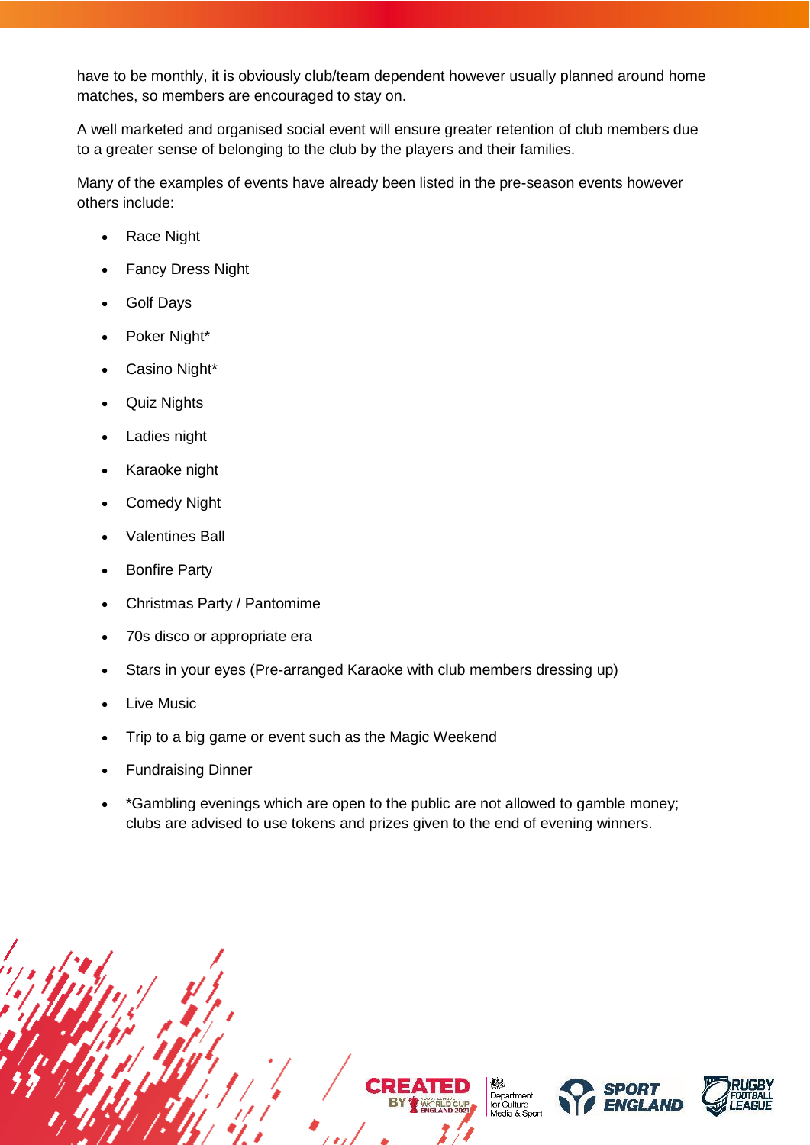have to be monthly, it is obviously club/team dependent however usually planned around home matches, so members are encouraged to stay on.

A well marketed and organised social event will ensure greater retention of club members due to a greater sense of belonging to the club by the players and their families.

Many of the examples of events have already been listed in the pre-season events however others include:

- Race Night
- **Fancy Dress Night**
- Golf Days
- Poker Night\*
- Casino Night\*
- Quiz Nights
- Ladies night
- Karaoke night
- Comedy Night
- Valentines Ball
- **Bonfire Party**
- Christmas Party / Pantomime
- 70s disco or appropriate era
- Stars in your eyes (Pre-arranged Karaoke with club members dressing up)
- Live Music
- Trip to a big game or event such as the Magic Weekend
- Fundraising Dinner
- \*Gambling evenings which are open to the public are not allowed to gamble money; clubs are advised to use tokens and prizes given to the end of evening winners.